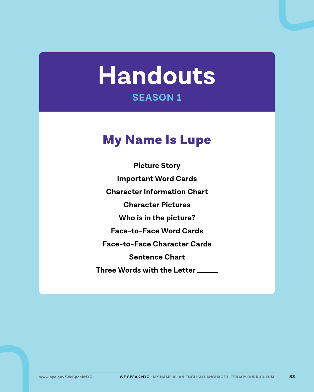# **Handouts SEASON 1**

## My Name Is Lupe

**Picture Story Important Word Cards Character Information Chart Character Pictures Who is in the picture? Face-to-Face Word Cards Face-to-Face Character Cards Sentence Chart Three Words with the Letter**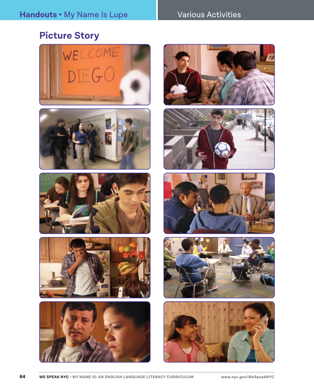#### Various Activities

## **Picture Story**



















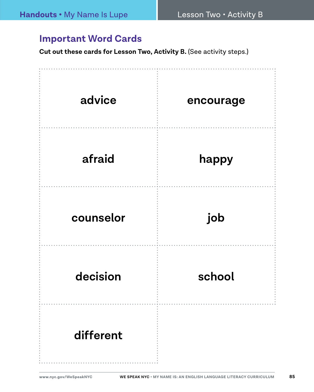### **Important Word Cards**

**Cut out these cards for Lesson Two, Activity B. (See activity steps.)** 

| advice    | encourage |
|-----------|-----------|
| afraid    | happy     |
| counselor | job       |
| decision  | school    |
| different |           |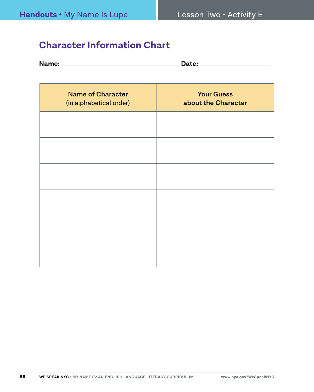#### **Character Information Chart**

| Name: | Jate: |
|-------|-------|
|       |       |

| <b>Name of Character</b><br>(in alphabetical order) | <b>Your Guess</b><br>about the Character |
|-----------------------------------------------------|------------------------------------------|
|                                                     |                                          |
|                                                     |                                          |
|                                                     |                                          |
|                                                     |                                          |
|                                                     |                                          |
|                                                     |                                          |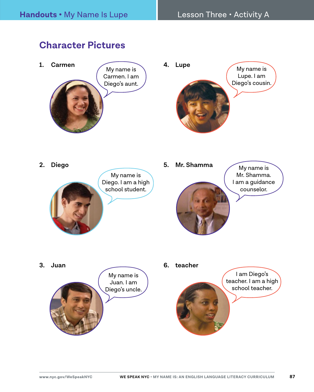#### **Character Pictures**

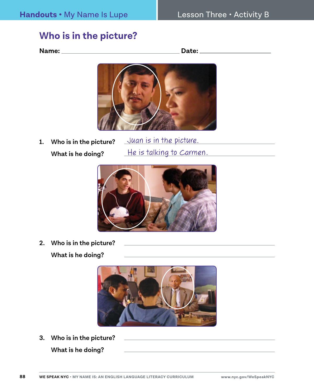#### **Who is in the picture?**

**Name:** 2008 2014 2022 2023 2024 2024 2022 2024 2022 2024 2022 2024 2022 2024 2022 2024 2022 2022 2024 2022 2024 2022 2022 2024 2022 2024 2022 2022 2024 2022 2024 2022 2022 2024 2022 2024 2022 2023 2024 2022 2023 2024 2022



**1. Who is in the picture? What is he doing?** Juan is in the picture. He is talking to Carmen.



**2. Who is in the picture?** 

**What is he doing?**



**3. Who is in the picture?** 

**What is he doing?**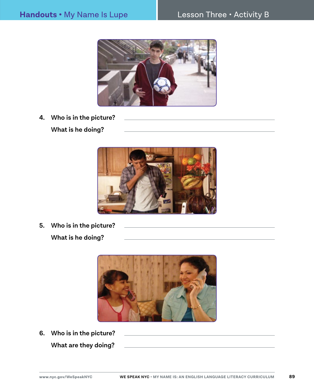

**4. Who is in the picture? What is he doing?**



**5. Who is in the picture? What is he doing?**



**6. Who is in the picture? What are they doing?**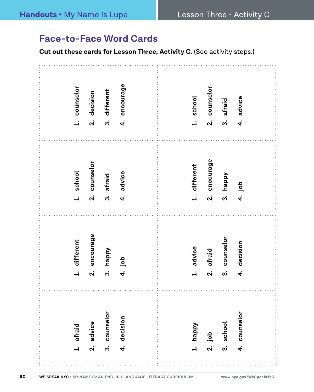#### **Face-to-Face Word Cards**

**Cut out these cards for Lesson Three, Activity C.** (See activity steps.)

| counselor<br>$\ddot{ }$  | encourage<br>different<br>decision<br>$\mathbf{a}$<br>က<br>4.                 | counselor<br>school<br>ລ່<br>$\ddot{ }$                        | afraid<br>$\ddot{\mathbf{c}}$    | advice<br>4.                   |
|--------------------------|-------------------------------------------------------------------------------|----------------------------------------------------------------|----------------------------------|--------------------------------|
| 1. school                | counselor<br>4. advice<br>afraid<br>$\mathbf{\dot{a}}$<br>$\ddot{\mathbf{c}}$ | encourage<br>different<br>$\overline{a}$<br>$\dot{\mathbf{v}}$ | happy<br>.<br>ო                  | 4. job                         |
| 1. different             | encourage<br>happy<br>4. job<br>$\ddot{\mathbf{c}}$<br>ລ່                     | advice<br>afraid<br>$\mathbf{a}$<br>$\ddot{ }$                 | counselor<br>$\ddot{\mathbf{c}}$ | decision<br>$\overline{\bf 4}$ |
| afraid<br>$\overline{a}$ | 3. counselor<br>4. decision<br>2. advice                                      | happy<br>$2.$ job<br>$\ddot{ }$                                | school<br>.<br>ო                 | 4. counselor                   |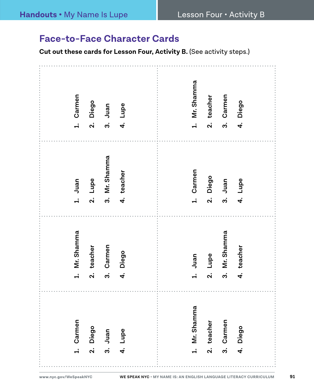#### **Face-to-Face Character Cards**

**Cut out these cards for Lesson Four, Activity B. (See activity steps.)** 

| Carmen             | Mr. Shamma          | Mr. Shamma         | Carmen             |
|--------------------|---------------------|--------------------|--------------------|
| Diego              | Carmen              | teacher            | Diego              |
| Lupe               | teacher             | Lupe               | Juan               |
| Juan               | Diego               | Juan               | Lupe               |
| $\dot{\mathbf{c}}$ | $\dot{a}$           | က                  | $\ddot{ }$         |
| 4.                 | $\ddot{\mathbf{v}}$ | $\dot{\mathbf{v}}$ | $\dot{\mathbf{c}}$ |
| $\dot{\mathbf{z}}$ | $\dot{4}$           | 4                  | $\vec{r}$          |
| $\ddot{ }$         | $\dot{\mathbf{c}}$  | $\div$             | $\dot{\mathbf{v}}$ |
| Mr. Shamma         | Juan                | Carmen             | Mr. Shamma         |
| $\div$             | $\dot{+}$           | $\div$             | $\dot{+}$          |
| Carmen             | Mr. Shamma          | Diego              | Carmen             |
| teacher            | Lupe                | Juan               | teacher            |
| $\dot{\mathbf{v}}$ | $\ddot{\mathbf{v}}$ | $\dot{\mathbf{v}}$ | $\dot{\mathbf{v}}$ |
| က                  | $\ddot{\mathbf{c}}$ | $\dot{\mathbf{c}}$ | က                  |
| Diego              | teacher             | Lupe               | Diego              |
| 4                  | 4                   | $\vec{r}$          | 4                  |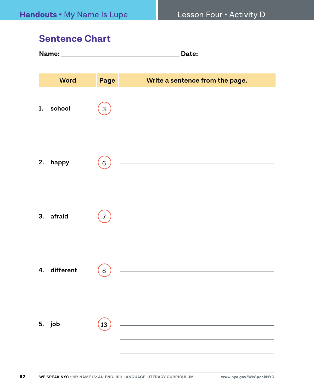#### **Sentence Chart**

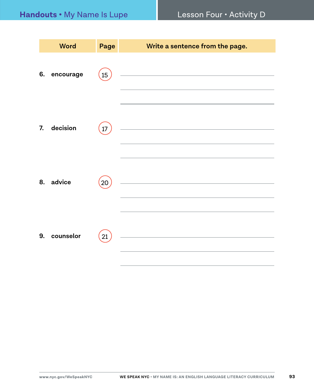|    | <b>Word</b> | Page   | Write a sentence from the page.                                                                                        |
|----|-------------|--------|------------------------------------------------------------------------------------------------------------------------|
| 6. | encourage   | $15\,$ | <u> 1980 - Johann Stein, marwolaethau a bhann an t-Albann an t-Albann an t-Albann an t-Albann an t-Albann an t-Alb</u> |
| 7. | decision    | 17     | <u> 1989 - Johann Barn, mars ann an t-Amhain Aonaich an t-Aonaich an t-Aonaich an t-Aonaich an t-Aonaich an t-Aon</u>  |
|    | 8. advice   | 20     | <u> 1989 - Johann Barbara, martxa alemaniar a</u>                                                                      |
| 9. | counselor   | 21     | <u> 1989 - Johann Barbara, martxa al</u>                                                                               |